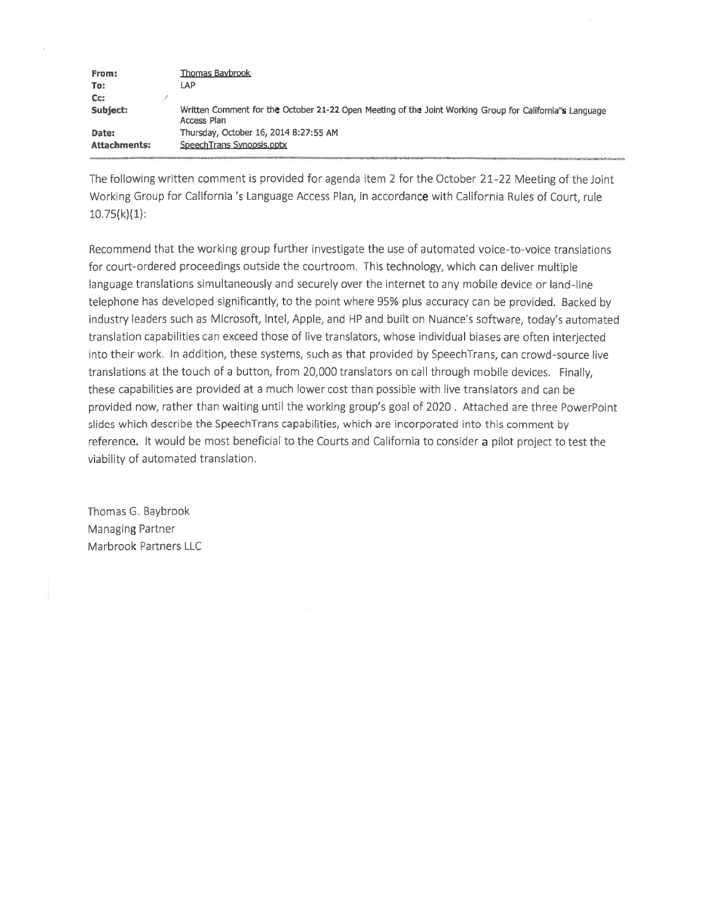| From:        | Thomas Baybrook                                                                                                        |
|--------------|------------------------------------------------------------------------------------------------------------------------|
| To:          | LAP                                                                                                                    |
| Cc:          |                                                                                                                        |
| Subject:     | Written Comment for the October 21-22 Open Meeting of the Joint Working Group for California"s Language<br>Access Plan |
| Date:        | Thursday, October 16, 2014 8:27:55 AM                                                                                  |
| Attachments: | SpeechTrans Synopsis.pptx                                                                                              |

The following written comment is provided for agenda item 2 for the October 21-22 Meeting of the Joint Working Group for California 's Language Access Plan, in accordance with California Rules of Court, rule  $10.75(k)(1)$ :

Recommend that the working group further investigate the use of automated voice-to-voice translations for court-ordered proceedings outside the courtroom. This technology, which can deliver multiple language translations simultaneously and securely over the internet to any mobile device or land-line telephone has developed significantly, to the point where 95% plus accuracy can be provided. Backed by industry leaders such as Microsoft, Intel, Apple, and HP and built on Nuance's software, today's automated translation capabilities can exceed those of live translators, whose individual biases are often interjected into their work. In addition, these systems, such as that provided by SpeechTrans, can crowd-source live translations at the touch of a button, from 20,000 translators on call through mobile devices. Finally, these capabilities are provided at a much lower cost than possible with live translators and can be provided now, rather than waiting until the working group's goal of 2020. Attached are three PowerPoint slides which describe the SpeechTrans capabilities, which are incorporated into this comment by reference. It would be most beneficial to the Courts and California to consider a pilot project to test the viability of automated translation.

Thomas G. Baybrook Managing Partner Marbrook Partners LLC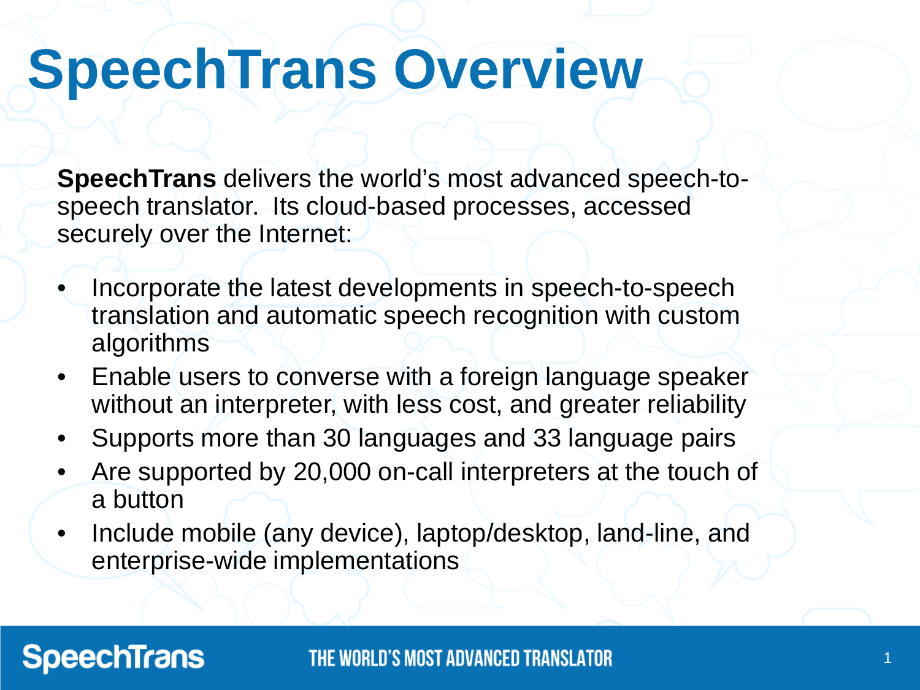### **SpeechTrans Overview**

**SpeechTrans** delivers the world's most advanced speech-tospeech translator. Its cloud-based processes, accessed securely over the Internet:

- Incorporate the latest developments in speech-to-speech translation and automatic speech recognition with custom algorithms
- Enable users to converse with a foreign language speaker without an interpreter, with less cost, and greater reliability
- Supports more than 30 languages and 33 language pairs
- Are supported by 20,000 on-call interpreters at the touch of a button
- Include mobile (any device), laptop/desktop, land-line, and enterprise-wide implementations

### **SpeechTrans**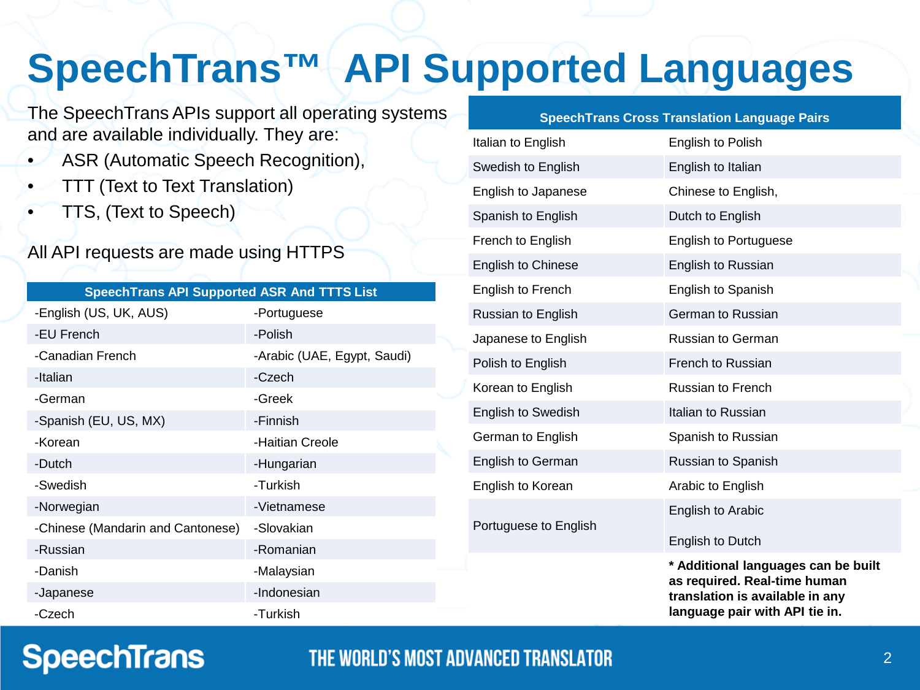### **SpeechTrans™ API Supported Languages**

The SpeechTrans APIs support all operating systems and are available individually. They are:

- ASR (Automatic Speech Recognition),
- TTT (Text to Text Translation)
- TTS, (Text to Speech)

### All API requests are made using HTTPS

|   | SpeechTrans API Supported ASR And TTTS List |
|---|---------------------------------------------|
| . |                                             |

| -English (US, UK, AUS)            | -Portuguese                 |
|-----------------------------------|-----------------------------|
| -EU French                        | -Polish                     |
| -Canadian French                  | -Arabic (UAE, Egypt, Saudi) |
| -Italian                          | -Czech                      |
| -German                           | -Greek                      |
| -Spanish (EU, US, MX)             | -Finnish                    |
| -Korean                           | -Haitian Creole             |
| -Dutch                            | -Hungarian                  |
| -Swedish                          | -Turkish                    |
| -Norwegian                        | -Vietnamese                 |
| -Chinese (Mandarin and Cantonese) | -Slovakian                  |
| -Russian                          | -Romanian                   |
| -Danish                           | -Malaysian                  |
| -Japanese                         | -Indonesian                 |
| -Czech                            | -Turkish                    |

### **SpeechTrans Cross Translation Language Pairs**

| Italian to English        | English to Polish                                                                                                                        |
|---------------------------|------------------------------------------------------------------------------------------------------------------------------------------|
| Swedish to English        | English to Italian                                                                                                                       |
| English to Japanese       | Chinese to English,                                                                                                                      |
| Spanish to English        | Dutch to English                                                                                                                         |
| French to English         | <b>English to Portuguese</b>                                                                                                             |
| <b>English to Chinese</b> | English to Russian                                                                                                                       |
| English to French         | English to Spanish                                                                                                                       |
| Russian to English        | German to Russian                                                                                                                        |
| Japanese to English       | <b>Russian to German</b>                                                                                                                 |
| Polish to English         | French to Russian                                                                                                                        |
| Korean to English         | Russian to French                                                                                                                        |
| <b>English to Swedish</b> | Italian to Russian                                                                                                                       |
| German to English         | Spanish to Russian                                                                                                                       |
| <b>English to German</b>  | Russian to Spanish                                                                                                                       |
| English to Korean         | Arabic to English                                                                                                                        |
| Portuguese to English     | English to Arabic<br>English to Dutch                                                                                                    |
|                           | * Additional languages can be built<br>as required. Real-time human<br>translation is available in any<br>language pair with API tie in. |

### **SpeechTrans**

### THE WORLD'S MOST ADVANCED TRANSLATOR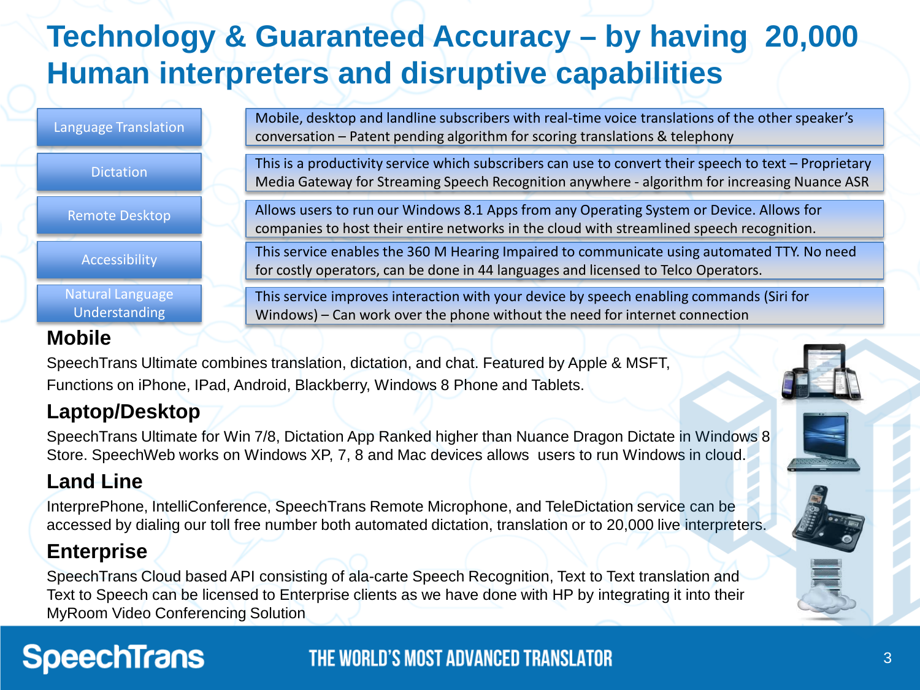### **Technology & Guaranteed Accuracy – by having 20,000 Human interpreters and disruptive capabilities**

| Language Translation                     | Mobile, desktop and landline subscribers with real-time voice translations of the other speaker's<br>conversation - Patent pending algorithm for scoring translations & telephony                         |
|------------------------------------------|-----------------------------------------------------------------------------------------------------------------------------------------------------------------------------------------------------------|
| <b>Dictation</b>                         | This is a productivity service which subscribers can use to convert their speech to text $-$ Proprietary<br>Media Gateway for Streaming Speech Recognition anywhere - algorithm for increasing Nuance ASR |
| <b>Remote Desktop</b>                    | Allows users to run our Windows 8.1 Apps from any Operating System or Device. Allows for<br>companies to host their entire networks in the cloud with streamlined speech recognition.                     |
| Accessibility                            | This service enables the 360 M Hearing Impaired to communicate using automated TTY. No need<br>for costly operators, can be done in 44 languages and licensed to Telco Operators.                         |
| Natural Language<br><b>Understanding</b> | This service improves interaction with your device by speech enabling commands (Siri for<br>Windows) – Can work over the phone without the need for internet connection                                   |

### **Mobile**

SpeechTrans Ultimate combines translation, dictation, and chat. Featured by Apple & MSFT, Functions on iPhone, IPad, Android, Blackberry, Windows 8 Phone and Tablets.

### **Laptop/Desktop**

SpeechTrans Ultimate for Win 7/8, Dictation App Ranked higher than Nuance Dragon Dictate in Windows 8 Store. SpeechWeb works on Windows XP, 7, 8 and Mac devices allows users to run Windows in cloud.

### **Land Line**

InterprePhone, IntelliConference, SpeechTrans Remote Microphone, and TeleDictation service can be accessed by dialing our toll free number both automated dictation, translation or to 20,000 live interpreters.

### **Enterprise**

SpeechTrans Cloud based API consisting of ala-carte Speech Recognition, Text to Text translation and Text to Speech can be licensed to Enterprise clients as we have done with HP by integrating it into their MyRoom Video Conferencing Solution.

### **SpeechTrans**

### THE WORLD'S MOST ADVANCED TRANSLATOR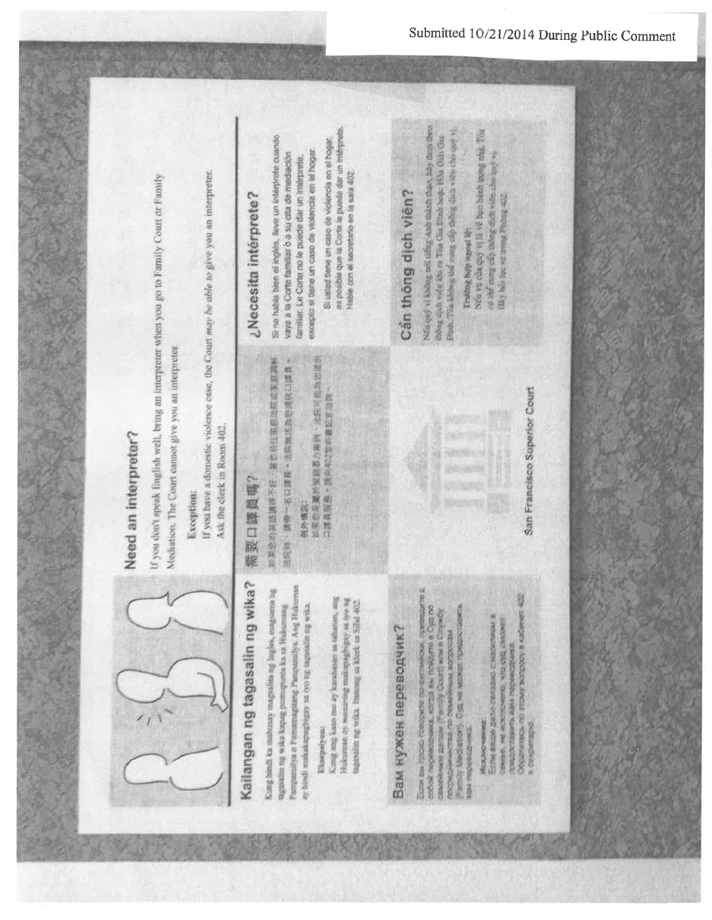

# Need an interpreter?

If you don't speak English well, bring an interpreter when you go to Family Court or Family Mediation. The Court cannot give you an interpreter.

### Exception:

If you have a domestic violence case, the Court may be able to give you an interpreter. Ask the clerk in Room 402.

# Kailangan ng tagasalin ng wika?

Kung hindi ku mahusay magsalita ng Ingles, magsama ag Pampamilya o Pamamagitang Pampamilya. Ang Hukuingawalin ng waka kapag pumupunta ka sa Hukumang ay hindi makakapagbigay sa iyo ng tagasalin ng wika.

### Eksepsiyean

Kong ang kaso mo ay karabasat sa tahanan, ang Hukuman ay maaaraag makapagbigay sa iyo ng tagestellen mg wika. Itanyang sa klerk sa Silid-402

# Вам нужен переводчик?

Если вы грозо говорите по-виглийски, приведите с<br>собой переводника, когда вы пойдете в Суд по Family Mediator) Cystem wower repeate ceasewear genze (Family Court) was a Cinoxby посредничества по обмейным вопросам **TASTOSOCOCO 20** 

### Исключение

Objectives no strony sorgooy is kadwien 402 COMMA, ME WORDHAM YTD OSE OMEST Ective Basile Meno caso divisio l'instrument первое переодежат **K CRACKET CONSULTANT** 

San Francisco Superior Court

# 需要口题員嗎?

计数据 化二甲基苯基 化二甲基苯甲基 医中枢 医心理 医心理学 ● 戰點 口怎麼 的成形制线照, " 戰戰口 \$2-1 春縣 , 當就报

- 如果想是顺於家庭为案例,法院可能当世提供 三、远野 东部
	- · 然你回信佛公师20P但第+ 的版框型口

# ¿Necesita intérprete?

Si no habla blen el inglés, lleve un intérprete cuando excepto si tiene un caso de violencia en si hogar vaya a la Corte familiar o a su cita de mediación familiar. La Corte no le puede dar un intérprete.

as posible que la Corte le puede dar un intérpre-Si usted tiene un caso de violencia en el hogar Hable con el secretario en la sala 402

# Cần thông dịch viên?

Non quy vi klong not tong Anh thank than, hay dem theo Dash. The kidnes the came cap mones data vice cho quy vi chông dịch viết khi từ Tua Cia Dình hoặc Hồa Giải Gar

Trubby hop agoul lệt

New ve cas cuy vi in ve bao hanh more whe. The of the main of the baby of the change vi Hay hold lake our trengt Probag 402.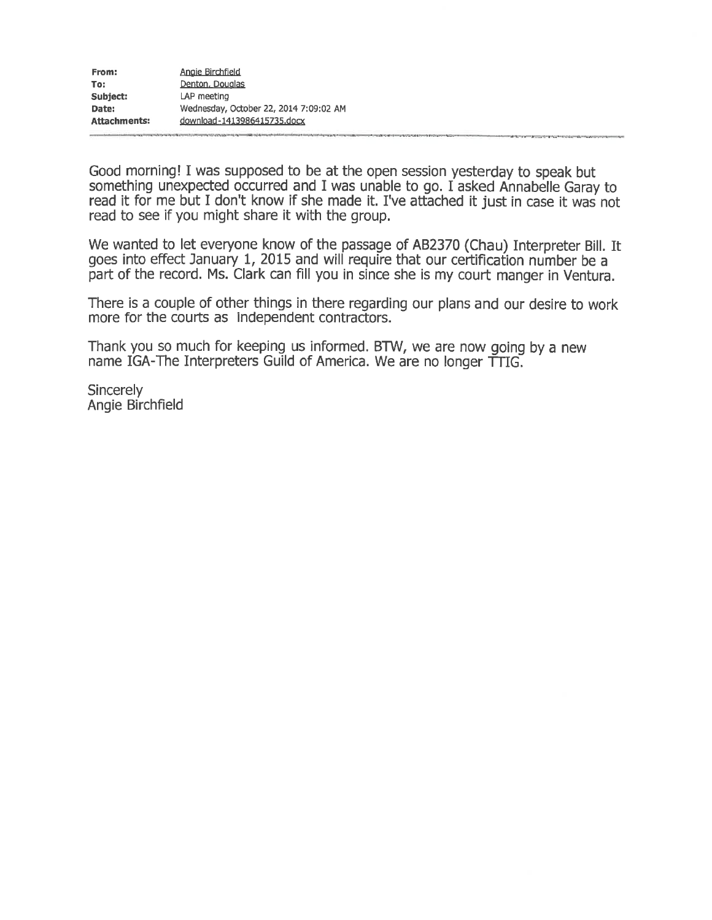Good morning! I was supposed to be at the open session yesterday to speak but something unexpected occurred and I was unable to go. I asked Annabelle Garay to read it for me but I don't know if she made it. I've attached it just in case it was not read to see if you might share it with the group.

We wanted to let everyone know of the passage of AB2370 (Chau) Interpreter Bill. It goes into effect January 1, 2015 and will require that our certification number be a part of the record. Ms. Clark can fill you in since she is my court manger in Ventura.

There is a couple of other things in there regarding our plans and our desire to work more for the courts as independent contractors.

Thank you so much for keeping us informed. BTW, we are now going by a new name IGA-The Interpreters Guild of America. We are no longer TTIG.

Sincerely Angie Birchfield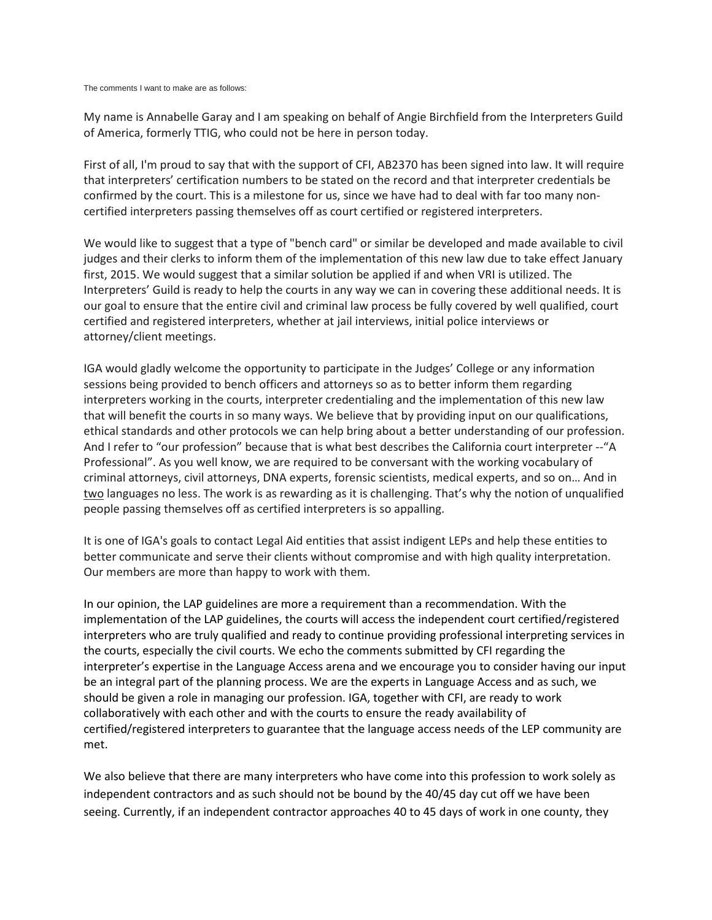The comments I want to make are as follows:

My name is Annabelle Garay and I am speaking on behalf of Angie Birchfield from the Interpreters Guild of America, formerly TTIG, who could not be here in person today.

First of all, I'm proud to say that with the support of CFI, AB2370 has been signed into law. It will require that interpreters' certification numbers to be stated on the record and that interpreter credentials be confirmed by the court. This is a milestone for us, since we have had to deal with far too many noncertified interpreters passing themselves off as court certified or registered interpreters.

We would like to suggest that a type of "bench card" or similar be developed and made available to civil judges and their clerks to inform them of the implementation of this new law due to take effect January first, 2015. We would suggest that a similar solution be applied if and when VRI is utilized. The Interpreters' Guild is ready to help the courts in any way we can in covering these additional needs. It is our goal to ensure that the entire civil and criminal law process be fully covered by well qualified, court certified and registered interpreters, whether at jail interviews, initial police interviews or attorney/client meetings.

IGA would gladly welcome the opportunity to participate in the Judges' College or any information sessions being provided to bench officers and attorneys so as to better inform them regarding interpreters working in the courts, interpreter credentialing and the implementation of this new law that will benefit the courts in so many ways. We believe that by providing input on our qualifications, ethical standards and other protocols we can help bring about a better understanding of our profession. And I refer to "our profession" because that is what best describes the California court interpreter -- "A Professional". As you well know, we are required to be conversant with the working vocabulary of criminal attorneys, civil attorneys, DNA experts, forensic scientists, medical experts, and so on… And in two languages no less. The work is as rewarding as it is challenging. That's why the notion of unqualified people passing themselves off as certified interpreters is so appalling.

It is one of IGA's goals to contact Legal Aid entities that assist indigent LEPs and help these entities to better communicate and serve their clients without compromise and with high quality interpretation. Our members are more than happy to work with them.

In our opinion, the LAP guidelines are more a requirement than a recommendation. With the implementation of the LAP guidelines, the courts will access the independent court certified/registered interpreters who are truly qualified and ready to continue providing professional interpreting services in the courts, especially the civil courts. We echo the comments submitted by CFI regarding the interpreter's expertise in the Language Access arena and we encourage you to consider having our input be an integral part of the planning process. We are the experts in Language Access and as such, we should be given a role in managing our profession. IGA, together with CFI, are ready to work collaboratively with each other and with the courts to ensure the ready availability of certified/registered interpreters to guarantee that the language access needs of the LEP community are met.

We also believe that there are many interpreters who have come into this profession to work solely as independent contractors and as such should not be bound by the 40/45 day cut off we have been seeing. Currently, if an independent contractor approaches 40 to 45 days of work in one county, they